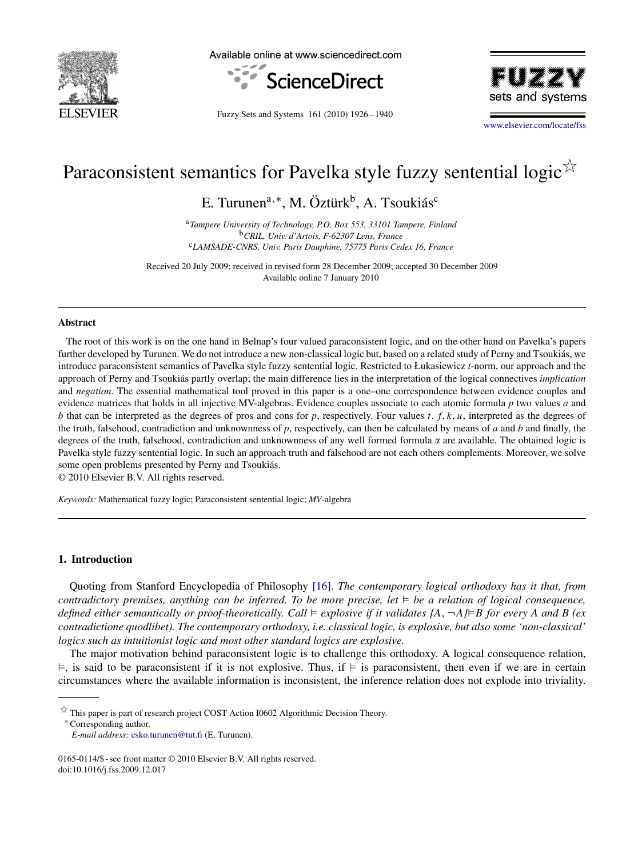

Available online at www.sciencedirect.com



Fuzzy Sets and Systems 161 (2010) 1926 – 1940



[www.elsevier.com/locate/fss](http://www.elsevier.com/locate/fss)

# Paraconsistent semantics for Pavelka style fuzzy sentential logic $\sqrt[5]{x}$

E. Turunen<sup>a,∗</sup>, M. Öztürk<sup>b</sup>, A. Tsoukiás<sup>c</sup>

<sup>a</sup>*Tampere University of Technology, P.O. Box 553, 33101 Tampere, Finland* <sup>b</sup>*CRIL, Univ. d'Artois, F-62307 Lens, France* <sup>c</sup>*LAMSADE-CNRS, Univ. Paris Dauphine, 75775 Paris Cedex 16, France*

Received 20 July 2009; received in revised form 28 December 2009; accepted 30 December 2009 Available online 7 January 2010

#### **Abstract**

The root of this work is on the one hand in Belnap's four valued paraconsistent logic, and on the other hand on Pavelka's papers further developed by Turunen. We do not introduce a new non-classical logic but, based on a related study of Perny and Tsoukiás, we introduce paraconsistent semantics of Pavelka style fuzzy sentential logic. Restricted to Łukasiewicz *t*-norm, our approach and the approach of Perny and Tsoukiás partly overlap; the main difference lies in the interpretation of the logical connectives *implication* and *negation*. The essential mathematical tool proved in this paper is a one–one correspondence between evidence couples and evidence matrices that holds in all injective MV-algebras. Evidence couples associate to each atomic formula *p* two values *a* and *b* that can be interpreted as the degrees of pros and cons for *p*, respectively. Four values *t*, *f*, *k*, *u*, interpreted as the degrees of the truth, falsehood, contradiction and unknownness of *p*, respectively, can then be calculated by means of *a* and *b* and finally, the degrees of the truth, falsehood, contradiction and unknownness of any well formed formula  $\alpha$  are available. The obtained logic is Pavelka style fuzzy sentential logic. In such an approach truth and falsehood are not each others complements. Moreover, we solve some open problems presented by Perny and Tsoukiás.

© 2010 Elsevier B.V. All rights reserved.

<span id="page-0-0"></span>*Keywords:* Mathematical fuzzy logic; Paraconsistent sentential logic; *MV*-algebra

# **1. Introduction**

Quoting from Stanford Encyclopedia of Philosophy [\[16\].](#page-14-0) *The contemporary logical orthodoxy has it that, from contradictory premises, anything can be inferred. To be more precise, let* ⊨ be a relation of logical consequence, defined either semantically or proof-theoretically. Call ⊨ explosive if it validates {A, ¬A}<sup>|</sup>=B for every A and B (ex *contradictione quodlibet). The contemporary orthodoxy, i.e. classical logic, is explosive, but also some 'non-classical' logics such as intuitionist logic and most other standard logics are explosive.*

The major motivation behind paraconsistent logic is to challenge this orthodoxy. A logical consequence relation,  $\models$ , is said to be paraconsistent if it is not explosive. Thus, if  $\models$  is paraconsistent, then even if we are in certain circumstances where the available information is inconsistent, the inference relation does not explode into triviality.

<sup>∗</sup> Corresponding author.

 $\overrightarrow{x}$  This paper is part of research project COST Action I0602 Algorithmic Decision Theory.

*E-mail address:* [esko.turunen@tut.fi](mailto:esko.turunen@tut.fi) (E. Turunen).

<sup>0165-0114/\$ -</sup> see front matter © 2010 Elsevier B.V. All rights reserved. doi:10.1016/j.fss.2009.12.017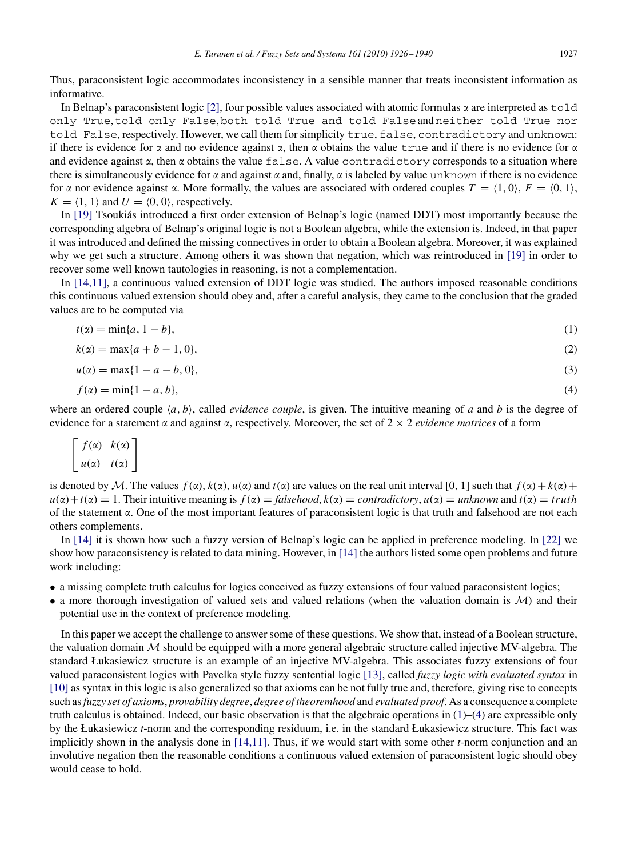Thus, paraconsistent logic accommodates inconsistency in a sensible manner that treats inconsistent information as informative.

In Belnap's paraconsistent logic [\[2\],](#page-14-1) four possible values associated with atomic formulas  $\alpha$  are interpreted as <code>told</code> only True,told only False,both told True and told Falseand neither told True nor told False, respectively. However, we call them for simplicity true, false, contradictory and unknown: if there is evidence for  $\alpha$  and no evidence against  $\alpha$ , then  $\alpha$  obtains the value true and if there is no evidence for  $\alpha$ and evidence against  $\alpha$ , then  $\alpha$  obtains the value  $\text{false}$ . A value contradictory corresponds to a situation where there is simultaneously evidence for  $\alpha$  and against  $\alpha$  and, finally,  $\alpha$  is labeled by value unknown if there is no evidence for  $\alpha$  nor evidence against  $\alpha$ . More formally, the values are associated with ordered couples  $T = \{1, 0\}$ ,  $F = \{0, 1\}$ ,  $K = \langle 1, 1 \rangle$  and  $U = \langle 0, 0 \rangle$ , respectively.

In [\[19\]](#page-14-2) Tsoukiás introduced a first order extension of Belnap's logic (named DDT) most importantly because the corresponding algebra of Belnap's original logic is not a Boolean algebra, while the extension is. Indeed, in that paper it was introduced and defined the missing connectives in order to obtain a Boolean algebra. Moreover, it was explained why we get such a structure. Among others it was shown that negation, which was reintroduced in [\[19\]](#page-14-2) in order to recover some well known tautologies in reasoning, is not a complementation.

In [\[14](#page-14-3)[,11\],](#page-14-4) a continuous valued extension of DDT logic was studied. The authors imposed reasonable conditions this continuous valued extension should obey and, after a careful analysis, they came to the conclusion that the graded values are to be computed via

$$
t(\alpha) = \min\{a, 1 - b\},\tag{1}
$$

$$
k(\alpha) = \max\{a + b - 1, 0\},\tag{2}
$$

$$
u(x) = \max\{1 - a - b, 0\},\tag{3}
$$

$$
f(\alpha) = \min\{1 - a, b\},\tag{4}
$$

where an ordered couple  $\langle a, b \rangle$ , called *evidence couple*, is given. The intuitive meaning of *a* and *b* is the degree of evidence for a statement  $\alpha$  and against  $\alpha$ , respectively. Moreover, the set of  $2 \times 2$  *evidence matrices* of a form

$$
\begin{bmatrix} f(\alpha) & k(\alpha) \\ u(\alpha) & t(\alpha) \end{bmatrix}
$$

is denoted by *M*. The values  $f(x)$ ,  $k(x)$ ,  $u(x)$  and  $t(x)$  are values on the real unit interval [0, 1] such that  $f(x) + k(x) +$  $u(\alpha) + t(\alpha) = 1$ . Their intuitive meaning is  $f(\alpha) = \text{falsehood}, k(\alpha) = \text{contradictory}, u(\alpha) = \text{unknown}$  and  $t(\alpha) = \text{truth}$ of the statement  $\alpha$ . One of the most important features of paraconsistent logic is that truth and falsehood are not each others complements.

In [\[14\]](#page-14-3) it is shown how such a fuzzy version of Belnap's logic can be applied in preference modeling. In [\[22\]](#page-14-5) we show how paraconsistency is related to data mining. However, in [\[14\]](#page-14-3) the authors listed some open problems and future work including:

- a missing complete truth calculus for logics conceived as fuzzy extensions of four valued paraconsistent logics;
- a more thorough investigation of valued sets and valued relations (when the valuation domain is *M*) and their potential use in the context of preference modeling.

In this paper we accept the challenge to answer some of these questions. We show that, instead of a Boolean structure, the valuation domain *M* should be equipped with a more general algebraic structure called injective MV-algebra. The standard Łukasiewicz structure is an example of an injective MV-algebra. This associates fuzzy extensions of four valued paraconsistent logics with Pavelka style fuzzy sentential logic [\[13\],](#page-14-6) called *fuzzy logic with evaluated syntax* in [\[10\]](#page-14-7) as syntax in this logic is also generalized so that axioms can be not fully true and, therefore, giving rise to concepts such as*fuzzy set of axioms*, *provability degree*, *degree of theoremhood* and *evaluated proof*. As a consequence a complete truth calculus is obtained. Indeed, our basic observation is that the algebraic operations in [\(1\)](#page-0-0)–[\(4\)](#page-0-0) are expressible only by the Łukasiewicz *t*-norm and the corresponding residuum, i.e. in the standard Łukasiewicz structure. This fact was implicitly shown in the analysis done in [\[14](#page-14-3)[,11\].](#page-14-4) Thus, if we would start with some other *t*-norm conjunction and an involutive negation then the reasonable conditions a continuous valued extension of paraconsistent logic should obey would cease to hold.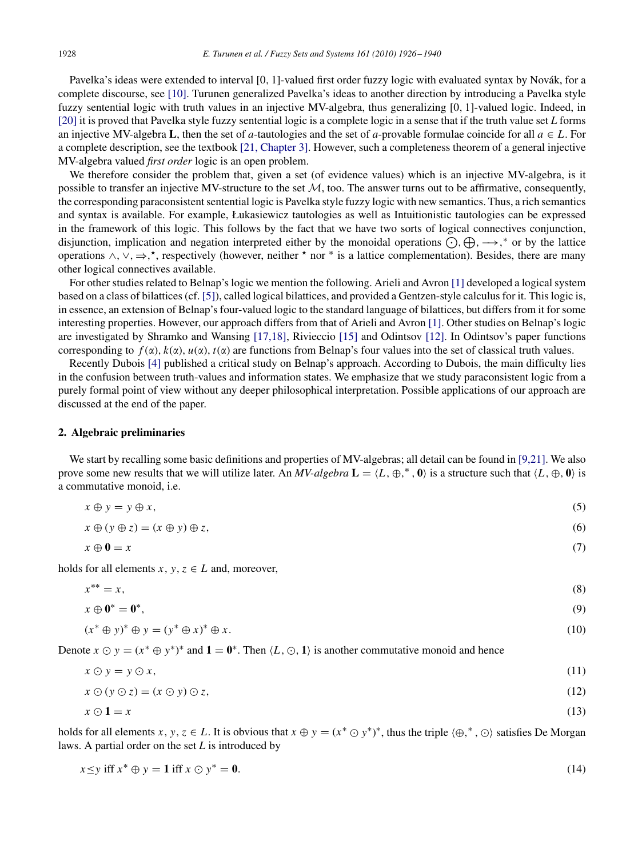Pavelka's ideas were extended to interval [0, 1]-valued first order fuzzy logic with evaluated syntax by Novák, for a complete discourse, see [\[10\].](#page-14-7) Turunen generalized Pavelka's ideas to another direction by introducing a Pavelka style fuzzy sentential logic with truth values in an injective MV-algebra, thus generalizing [0, 1]-valued logic. Indeed, in [\[20\]](#page-14-8) it is proved that Pavelka style fuzzy sentential logic is a complete logic in a sense that if the truth value set *L* forms an injective MV-algebra **L**, then the set of *a*-tautologies and the set of *a*-provable formulae coincide for all  $a \in L$ . For a complete description, see the textbook [\[21, Chapter 3\].](#page-14-9) However, such a completeness theorem of a general injective MV-algebra valued *first order* logic is an open problem.

We therefore consider the problem that, given a set (of evidence values) which is an injective MV-algebra, is it possible to transfer an injective MV-structure to the set *M*, too. The answer turns out to be affirmative, consequently, the corresponding paraconsistent sentential logic is Pavelka style fuzzy logic with new semantics. Thus, a rich semantics and syntax is available. For example, Łukasiewicz tautologies as well as Intuitionistic tautologies can be expressed in the framework of this logic. This follows by the fact that we have two sorts of logical connectives conjunction, disjunction, implication and negation interpreted either by the monoidal operations  $\bigodot$ ,  $\bigoplus$ ,  $\longrightarrow$ ,\* or by the lattice operations  $\wedge$ ,  $\vee$ ,  $\Rightarrow$ ,  $\star$ , respectively (however, neither  $\star$  nor  $*$  is a lattice complementation). Besides, there are many other logical connectives available.

For other studies related to Belnap's logic we mention the following. Arieli and Avron [\[1\]](#page-14-10) developed a logical system based on a class of bilattices (cf. [\[5\]\)](#page-14-11), called logical bilattices, and provided a Gentzen-style calculus for it. This logic is, in essence, an extension of Belnap's four-valued logic to the standard language of bilattices, but differs from it for some interesting properties. However, our approach differs from that of Arieli and Avron [\[1\].](#page-14-10) Other studies on Belnap's logic are investigated by Shramko and Wansing [\[17](#page-14-12)[,18\],](#page-14-13) Rivieccio [\[15\]](#page-14-14) and Odintsov [\[12\].](#page-14-15) In Odintsov's paper functions corresponding to  $f(x)$ ,  $k(x)$ ,  $u(x)$ ,  $t(x)$  are functions from Belnap's four values into the set of classical truth values.

Recently Dubois [\[4\]](#page-14-16) published a critical study on Belnap's approach. According to Dubois, the main difficulty lies in the confusion between truth-values and information states. We emphasize that we study paraconsistent logic from a purely formal point of view without any deeper philosophical interpretation. Possible applications of our approach are discussed at the end of the paper.

# <span id="page-2-0"></span>**2. Algebraic preliminaries**

We start by recalling some basic definitions and properties of MV-algebras; all detail can be found in [\[9](#page-14-17)[,21\].](#page-14-9) We also prove some new results that we will utilize later. An *MV-algebra*  $\mathbf{L} = \langle L, \oplus,^*, \mathbf{0} \rangle$  is a structure such that  $\langle L, \oplus, \mathbf{0} \rangle$  is a commutative monoid, i.e.

$$
x \oplus y = y \oplus x,\tag{5}
$$

$$
x \oplus (y \oplus z) = (x \oplus y) \oplus z,\tag{6}
$$

$$
x \oplus \mathbf{0} = x \tag{7}
$$

holds for all elements *x*,  $y, z \in L$  and, moreover,

$$
x^{**} = x,\tag{8}
$$

$$
x \oplus \mathbf{0}^* = \mathbf{0}^*,\tag{9}
$$

$$
(x^* \oplus y)^* \oplus y = (y^* \oplus x)^* \oplus x. \tag{10}
$$

Denote  $x \odot y = (x^* \oplus y^*)^*$  and  $\mathbf{1} = \mathbf{0}^*$ . Then  $\langle L, \odot, \mathbf{1} \rangle$  is another commutative monoid and hence

$$
x \odot y = y \odot x,\tag{11}
$$

$$
x \odot (y \odot z) = (x \odot y) \odot z,\tag{12}
$$

<span id="page-2-1"></span>
$$
x \odot \mathbf{1} = x \tag{13}
$$

holds for all elements *x*, *y*, *z*  $\in$  *L*. It is obvious that  $x \oplus y = (x^* \odot y^*)^*$ , thus the triple  $\langle \oplus, ^*, \odot \rangle$  satisfies De Morgan laws. A partial order on the set *L* is introduced by

$$
x \le y \text{ iff } x^* \oplus y = 1 \text{ iff } x \odot y^* = 0. \tag{14}
$$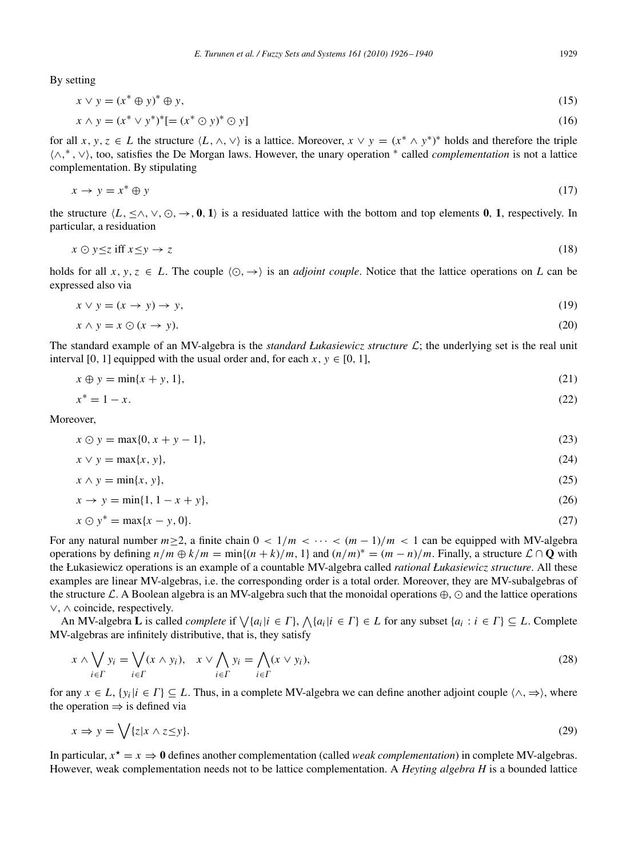By setting

$$
x \lor y = (x^* \oplus y)^* \oplus y,\tag{15}
$$

$$
x \wedge y = (x^* \vee y^*)^* [ = (x^* \odot y)^* \odot y]
$$
 (16)

for all *x*, *y*, *z*  $\in$  *L* the structure  $\langle L, \wedge, \vee \rangle$  is a lattice. Moreover,  $x \vee y = (x^* \wedge y^*)^*$  holds and therefore the triple ∧, <sup>∗</sup> , ∨, too, satisfies the De Morgan laws. However, the unary operation <sup>∗</sup> called *complementation* is not a lattice complementation. By stipulating

$$
x \to y = x^* \oplus y \tag{17}
$$

the structure  $\langle L, \leq \wedge, \vee, \odot, \rightarrow, \mathbf{0}, \mathbf{1} \rangle$  is a residuated lattice with the bottom and top elements **0**, **1**, respectively. In particular, a residuation

<span id="page-3-0"></span>
$$
x \odot y \le z \text{ iff } x \le y \to z \tag{18}
$$

holds for all  $x, y, z \in L$ . The couple  $\langle \odot, \rightarrow \rangle$  is an *adjoint couple*. Notice that the lattice operations on *L* can be expressed also via

$$
x \lor y = (x \to y) \to y,\tag{19}
$$

$$
x \wedge y = x \odot (x \to y). \tag{20}
$$

The standard example of an MV-algebra is the *standard Łukasiewicz structure L*; the underlying set is the real unit interval [0, 1] equipped with the usual order and, for each  $x, y \in [0, 1]$ ,

$$
x \oplus y = \min\{x + y, 1\},\tag{21}
$$

$$
x^* = 1 - x.\tag{22}
$$

Moreover,

$$
x \odot y = \max\{0, x + y - 1\},\tag{23}
$$

$$
x \lor y = \max\{x, y\},\tag{24}
$$

$$
x \wedge y = \min\{x, y\},\tag{25}
$$

$$
x \to y = \min\{1, 1 - x + y\},\tag{26}
$$

$$
x \odot y^* = \max\{x - y, 0\}.\tag{27}
$$

For any natural number  $m \ge 2$ , a finite chain  $0 < 1/m < \cdots < (m-1)/m < 1$  can be equipped with MV-algebra operations by defining  $n/m \oplus k/m = \min\{(n+k)/m, 1\}$  and  $(n/m)^* = (m - n)/m$ . Finally, a structure  $\mathcal{L} \cap \mathbf{Q}$  with the Łukasiewicz operations is an example of a countable MV-algebra called *rational Łukasiewicz structure*. All these examples are linear MV-algebras, i.e. the corresponding order is a total order. Moreover, they are MV-subalgebras of the structure  $\mathcal L$ . A Boolean algebra is an MV-algebra such that the monoidal operations  $\oplus$ ,  $\odot$  and the lattice operations ∨, ∧ coincide, respectively.

An MV-algebra **L** is called *complete* if  $\bigvee \{a_i | i \in \Gamma\}$ ,  $\bigwedge \{a_i | i \in \Gamma\} \in L$  for any subset  $\{a_i : i \in \Gamma\} \subseteq L$ . Complete MV-algebras are infinitely distributive, that is, they satisfy

$$
x \wedge \bigvee_{i \in \Gamma} y_i = \bigvee_{i \in \Gamma} (x \wedge y_i), \quad x \vee \bigwedge_{i \in \Gamma} y_i = \bigwedge_{i \in \Gamma} (x \vee y_i), \tag{28}
$$

for any  $x \in L$ ,  $\{y_i | i \in \Gamma\} \subseteq L$ . Thus, in a complete MV-algebra we can define another adjoint couple  $\langle \wedge, \Rightarrow \rangle$ , where the operation  $\Rightarrow$  is defined via

$$
x \Rightarrow y = \bigvee \{z | x \land z \le y\}.\tag{29}
$$

In particular,  $x^* = x \Rightarrow 0$  defines another complementation (called *weak complementation*) in complete MV-algebras. However, weak complementation needs not to be lattice complementation. A *Heyting algebra H* is a bounded lattice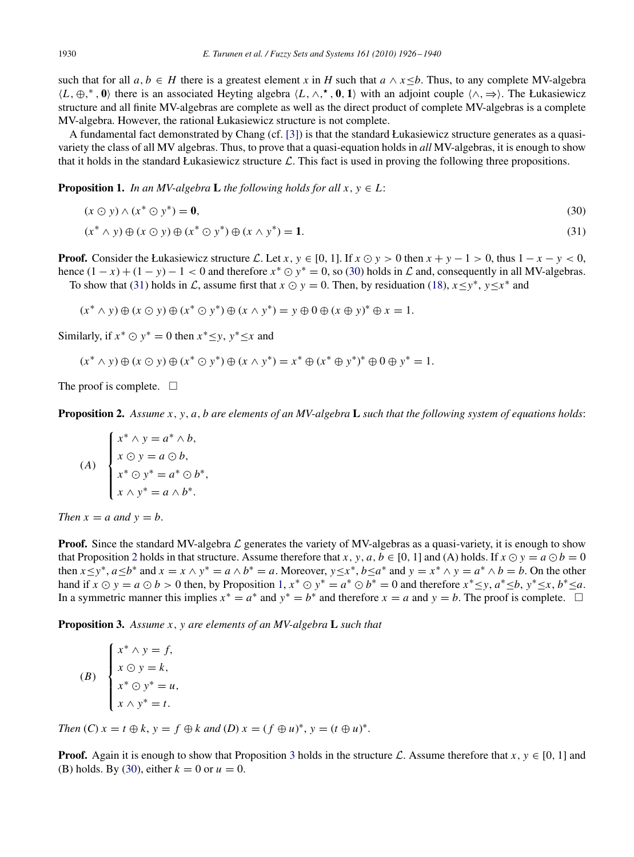such that for all  $a, b \in H$  there is a greatest element *x* in *H* such that  $a \wedge x \leq b$ . Thus, to any complete MV-algebra  $\langle L, \oplus, ^*, \mathbf{0} \rangle$  there is an associated Heyting algebra  $\langle L, \wedge, ^*, \mathbf{0}, \mathbf{1} \rangle$  with an adjoint couple  $\langle \wedge, \Rightarrow \rangle$ . The Łukasiewicz structure and all finite MV-algebras are complete as well as the direct product of complete MV-algebras is a complete MV-algebra. However, the rational Łukasiewicz structure is not complete.

A fundamental fact demonstrated by Chang (cf. [\[3\]\)](#page-14-18) is that the standard Łukasiewicz structure generates as a quasivariety the class of all MV algebras. Thus, to prove that a quasi-equation holds in *all* MV-algebras, it is enough to show that it holds in the standard Łukasiewicz structure  $\mathcal{L}$ . This fact is used in proving the following three propositions.

**Proposition 1.** *In an MV-algebra* **L** *the following holds for all*  $x, y \in L$ *:* 

<span id="page-4-0"></span>
$$
(x \odot y) \wedge (x^* \odot y^*) = \mathbf{0},\tag{30}
$$

 $(x^* \land y) \oplus (x \odot y) \oplus (x^* \odot y^*) \oplus (x \land y^*) = 1.$  (31)

**Proof.** Consider the Łukasiewicz structure *L*. Let *x*,  $y \in [0, 1]$ . If  $x \odot y > 0$  then  $x + y - 1 > 0$ , thus  $1 - x - y < 0$ , hence  $(1 - x) + (1 - y) - 1 < 0$  and therefore  $x^* \odot y^* = 0$ , so [\(30\)](#page-4-0) holds in *L* and, consequently in all MV-algebras. To show that [\(31\)](#page-4-0) holds in *L*, assume first that  $x \odot y = 0$ . Then, by residuation [\(18\)](#page-3-0),  $x \le y^*$ ,  $y \le x^*$  and

$$
(x^* \wedge y) \oplus (x \odot y) \oplus (x^* \odot y^*) \oplus (x \wedge y^*) = y \oplus 0 \oplus (x \oplus y)^* \oplus x = 1.
$$

Similarly, if  $x^* \odot y^* = 0$  then  $x^* \leq y$ ,  $y^* \leq x$  and

$$
(x^* \wedge y) \oplus (x \odot y) \oplus (x^* \odot y^*) \oplus (x \wedge y^*) = x^* \oplus (x^* \oplus y^*)^* \oplus 0 \oplus y^* = 1.
$$

<span id="page-4-1"></span>The proof is complete.  $\Box$ 

**Proposition 2.** *Assume x*, *y*, *a*, *b are elements of an MV-algebra* **L** *such that the following system of equations holds*:

(A)  

$$
\begin{cases} x^* \wedge y = a^* \wedge b, \\ x \odot y = a \odot b, \\ x^* \odot y^* = a^* \odot b^*, \\ x \wedge y^* = a \wedge b^*. \end{cases}
$$

*Then*  $x = a$  *and*  $y = b$ .

<span id="page-4-2"></span>**Proof.** Since the standard MV-algebra  $\mathcal L$  generates the variety of MV-algebras as a quasi-variety, it is enough to show that Proposition [2](#page-4-1) holds in that structure. Assume therefore that *x*, *y*, *a*, *b*  $\in$  [0, 1] and (A) holds. If  $x \odot y = a \odot b = 0$ then  $x \le y^*$ ,  $a \le b^*$  and  $x = x \wedge y^* = a \wedge b^* = a$ . Moreover,  $y \le x^*$ ,  $b \le a^*$  and  $y = x^* \wedge y = a^* \wedge b = b$ . On the other hand if  $x \odot y = a \odot b > 0$  then, by Proposition [1,](#page-4-0)  $x^* \odot y^* = a^* \odot b^* = 0$  and therefore  $x^* \leq y$ ,  $a^* \leq b$ ,  $y^* \leq x$ ,  $b^* \leq a$ . In a symmetric manner this implies  $x^* = a^*$  and  $y^* = b^*$  and therefore  $x = a$  and  $y = b$ . The proof is complete.  $\Box$ 

**Proposition 3.** *Assume x*, *y are elements of an MV-algebra* **L** *such that*

(B) 
$$
\begin{cases} x^* \wedge y = f, \\ x \odot y = k, \\ x^* \odot y^* = u, \\ x \wedge y^* = t. \end{cases}
$$

*Then*  $(C)$   $x = t \oplus k$ ,  $y = f \oplus k$  *and*  $(D)$   $x = (f \oplus u)^*$ ,  $y = (t \oplus u)^*$ .

**Proof.** Again it is enough to show that Proposition [3](#page-4-2) holds in the structure  $\mathcal{L}$ . Assume therefore that  $x, y \in [0, 1]$  and (B) holds. By [\(30\)](#page-4-0), either  $k = 0$  or  $u = 0$ .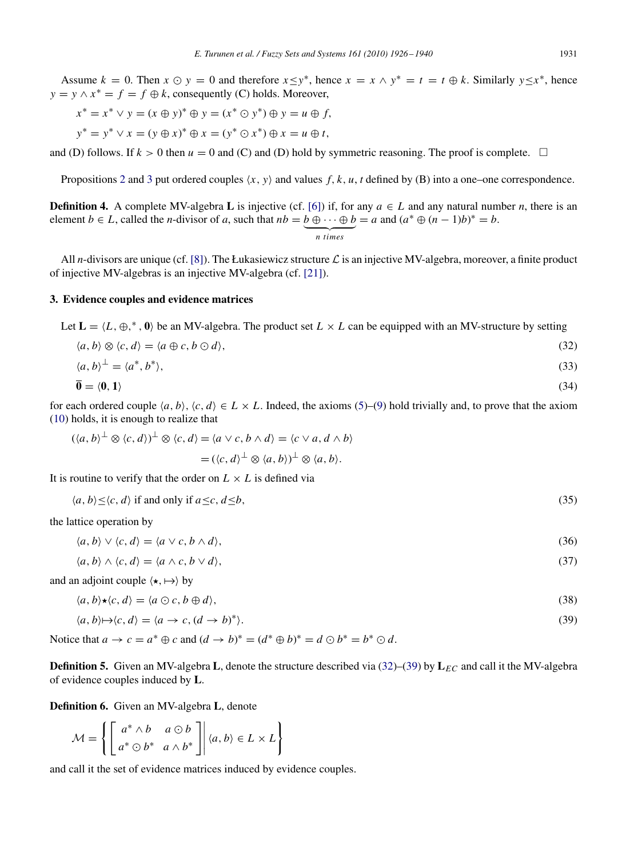Assume  $k = 0$ . Then  $x \odot y = 0$  and therefore  $x \leq y^*$ , hence  $x = x \wedge y^* = t = t \oplus k$ . Similarly  $y \leq x^*$ , hence  $y = y \wedge x^* = f = f \oplus k$ , consequently (C) holds. Moreover,

$$
x^* = x^* \lor y = (x \oplus y)^* \oplus y = (x^* \odot y^*) \oplus y = u \oplus f,
$$
  

$$
y^* = y^* \lor x = (y \oplus x)^* \oplus x = (y^* \odot x^*) \oplus x = u \oplus t,
$$

and (D) follows. If  $k > 0$  then  $u = 0$  and (C) and (D) hold by symmetric reasoning. The proof is complete.  $\Box$ 

Propositions [2](#page-4-1) and [3](#page-4-2) put ordered couples  $(x, y)$  and values f,  $k, u, t$  defined by (B) into a one–one correspondence.

**Definition 4.** A complete MV-algebra **L** is injective (cf. [\[6\]\)](#page-14-19) if, for any  $a \in L$  and any natural number *n*, there is an element *b*  $\in$  *L*, called the *n*-divisor of *a*, such that  $nb = b \oplus \cdots \oplus b$  $= a$  and  $(a^* \oplus (n-1)b)^* = b$ .

$$
n \times s
$$

<span id="page-5-0"></span>All *n*-divisors are unique (cf. [\[8\]\)](#page-14-20). The Łukasiewicz structure  $\mathcal L$  is an injective MV-algebra, moreover, a finite product of injective MV-algebras is an injective MV-algebra (cf. [\[21\]\)](#page-14-9).

#### **3. Evidence couples and evidence matrices**

Let  $\mathbf{L} = \langle L, \oplus, ^*, \mathbf{0} \rangle$  be an MV-algebra. The product set  $L \times L$  can be equipped with an MV-structure by setting

$$
\langle a, b \rangle \otimes \langle c, d \rangle = \langle a \oplus c, b \odot d \rangle, \tag{32}
$$

$$
\langle a, b \rangle^{\perp} = \langle a^*, b^* \rangle, \tag{33}
$$

$$
\overline{\mathbf{0}} = \langle \mathbf{0}, \mathbf{1} \rangle \tag{34}
$$

for each ordered couple  $\langle a, b \rangle$ ,  $\langle c, d \rangle \in L \times L$ . Indeed, the axioms [\(5\)](#page-2-0)–[\(9\)](#page-2-0) hold trivially and, to prove that the axiom [\(10\)](#page-2-0) holds, it is enough to realize that

$$
(\langle a,b\rangle^{\perp}\otimes\langle c,d\rangle)^{\perp}\otimes\langle c,d\rangle = \langle a\vee c,b\wedge d\rangle = \langle c\vee a,d\wedge b\rangle
$$

$$
= (\langle c,d\rangle^{\perp}\otimes\langle a,b\rangle)^{\perp}\otimes\langle a,b\rangle.
$$

<span id="page-5-1"></span>It is routine to verify that the order on  $L \times L$  is defined via

$$
\langle a, b \rangle \leq \langle c, d \rangle \text{ if and only if } a \leq c, d \leq b,
$$
\n
$$
(35)
$$

the lattice operation by

$$
\langle a, b \rangle \vee \langle c, d \rangle = \langle a \vee c, b \wedge d \rangle,\tag{36}
$$

 $\langle a, b \rangle \wedge \langle c, d \rangle = \langle a \wedge c, b \vee d \rangle,$  (37)

and an adjoint couple  $\langle \star, \mapsto \rangle$  by

$$
\langle a, b \rangle \star \langle c, d \rangle = \langle a \odot c, b \oplus d \rangle,
$$
\n(38)

<span id="page-5-2"></span>
$$
\langle a, b \rangle \mapsto \langle c, d \rangle = \langle a \to c, (d \to b)^* \rangle. \tag{39}
$$

Notice that  $a \to c = a^* \oplus c$  and  $(d \to b)^* = (d^* \oplus b)^* = d \odot b^* = b^* \odot d$ .

**Definition 5.** Given an MV-algebra **L**, denote the structure described via  $(32)$ –[\(39\)](#page-5-1) by  $L_{EC}$  and call it the MV-algebra of evidence couples induced by **L**.

**Definition 6.** Given an MV-algebra **L**, denote

$$
\mathcal{M} = \left\{ \begin{bmatrix} a^* \wedge b & a \odot b \\ a^* \odot b^* & a \wedge b^* \end{bmatrix} \middle| \langle a, b \rangle \in L \times L \right\}
$$

and call it the set of evidence matrices induced by evidence couples.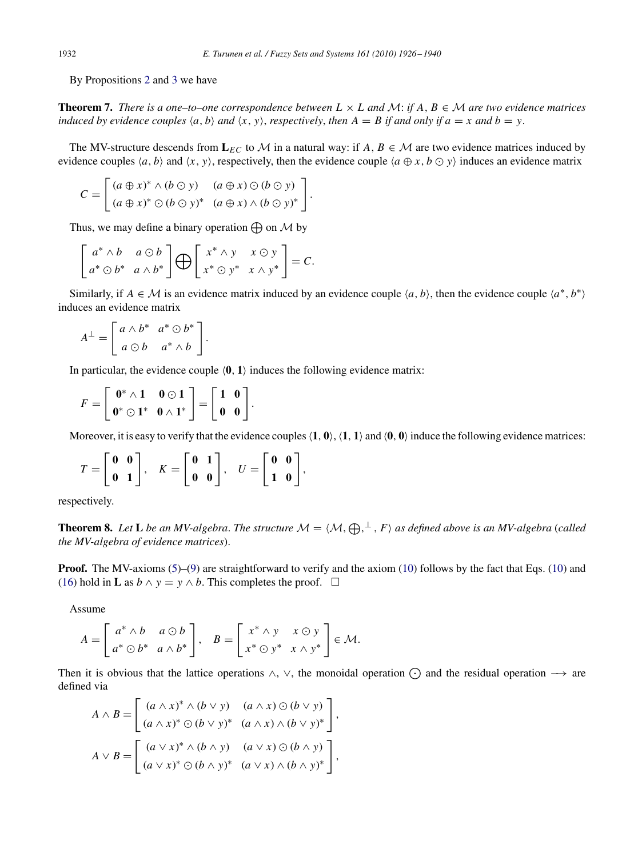<span id="page-6-0"></span>By Propositions [2](#page-4-1) and [3](#page-4-2) we have

**Theorem 7.** *There is a one–to–one correspondence between*  $L \times L$  and  $M$ : *if A*,  $B \in M$  *are two evidence matrices induced by evidence couples*  $\langle a, b \rangle$  *and*  $\langle x, y \rangle$ *, respectively, then*  $A = B$  *if and only if*  $a = x$  *and*  $b = y$ *.* 

The MV-structure descends from  $L_{EC}$  to *M* in a natural way: if  $A, B \in \mathcal{M}$  are two evidence matrices induced by evidence couples  $\langle a, b \rangle$  and  $\langle x, y \rangle$ , respectively, then the evidence couple  $\langle a \oplus x, b \odot y \rangle$  induces an evidence matrix

$$
C = \begin{bmatrix} (a \oplus x)^* \wedge (b \odot y) & (a \oplus x) \odot (b \odot y) \\ (a \oplus x)^* \odot (b \odot y)^* & (a \oplus x) \wedge (b \odot y)^* \end{bmatrix}.
$$

Thus, we may define a binary operation  $\bigoplus$  on  $\mathcal M$  by

$$
\begin{bmatrix} a^* \wedge b & a \odot b \\ a^* \odot b^* & a \wedge b^* \end{bmatrix} \bigoplus \begin{bmatrix} x^* \wedge y & x \odot y \\ x^* \odot y^* & x \wedge y^* \end{bmatrix} = C.
$$

.

Similarly, if  $A \in \mathcal{M}$  is an evidence matrix induced by an evidence couple  $\langle a, b \rangle$ , then the evidence couple  $\langle a^*, b^* \rangle$ induces an evidence matrix

$$
A^{\perp} = \left[ \begin{array}{cc} a \wedge b^* & a^* \odot b^* \\ a \odot b & a^* \wedge b \end{array} \right]
$$

In particular, the evidence couple  $(0, 1)$  induces the following evidence matrix:

$$
F=\left[\begin{array}{cc} \mathbf{0}^* \wedge \mathbf{1} & \mathbf{0} \odot \mathbf{1} \\ \mathbf{0}^* \odot \mathbf{1}^* & \mathbf{0} \wedge \mathbf{1}^* \end{array}\right]=\left[\begin{array}{cc} \mathbf{1} & \mathbf{0} \\ \mathbf{0} & \mathbf{0} \end{array}\right].
$$

Moreover, it is easy to verify that the evidence couples  $\langle 1, 0 \rangle$ ,  $\langle 1, 1 \rangle$  and  $\langle 0, 0 \rangle$  induce the following evidence matrices:

$$
T = \begin{bmatrix} \mathbf{0} & \mathbf{0} \\ \mathbf{0} & \mathbf{1} \end{bmatrix}, \quad K = \begin{bmatrix} \mathbf{0} & \mathbf{1} \\ \mathbf{0} & \mathbf{0} \end{bmatrix}, \quad U = \begin{bmatrix} \mathbf{0} & \mathbf{0} \\ \mathbf{1} & \mathbf{0} \end{bmatrix},
$$

respectively.

**Theorem 8.** Let **L** be an MV-algebra. The structure  $M = (M, \bigoplus, \perp, F)$  as defined above is an MV-algebra (called *the MV-algebra of evidence matrices*).

**Proof.** The MV-axioms [\(5\)](#page-2-0)–[\(9\)](#page-2-0) are straightforward to verify and the axiom [\(10\)](#page-2-0) follows by the fact that Eqs. (10) and [\(16\)](#page-2-1) hold in **L** as  $b \wedge y = y \wedge b$ . This completes the proof.  $\Box$ 

Assume

$$
A = \begin{bmatrix} a^* \wedge b & a \odot b \\ a^* \odot b^* & a \wedge b^* \end{bmatrix}, \quad B = \begin{bmatrix} x^* \wedge y & x \odot y \\ x^* \odot y^* & x \wedge y^* \end{bmatrix} \in \mathcal{M}.
$$

Then it is obvious that the lattice operations  $\wedge$ ,  $\vee$ , the monoidal operation  $\wedge$  and the residual operation  $\rightarrow$  are defined via

$$
A \wedge B = \begin{bmatrix} (a \wedge x)^* \wedge (b \vee y) & (a \wedge x) \odot (b \vee y) \\ (a \wedge x)^* \odot (b \vee y)^* & (a \wedge x) \wedge (b \vee y)^* \end{bmatrix},
$$
  

$$
A \vee B = \begin{bmatrix} (a \vee x)^* \wedge (b \wedge y) & (a \vee x) \odot (b \wedge y) \\ (a \vee x)^* \odot (b \wedge y)^* & (a \vee x) \wedge (b \wedge y)^* \end{bmatrix},
$$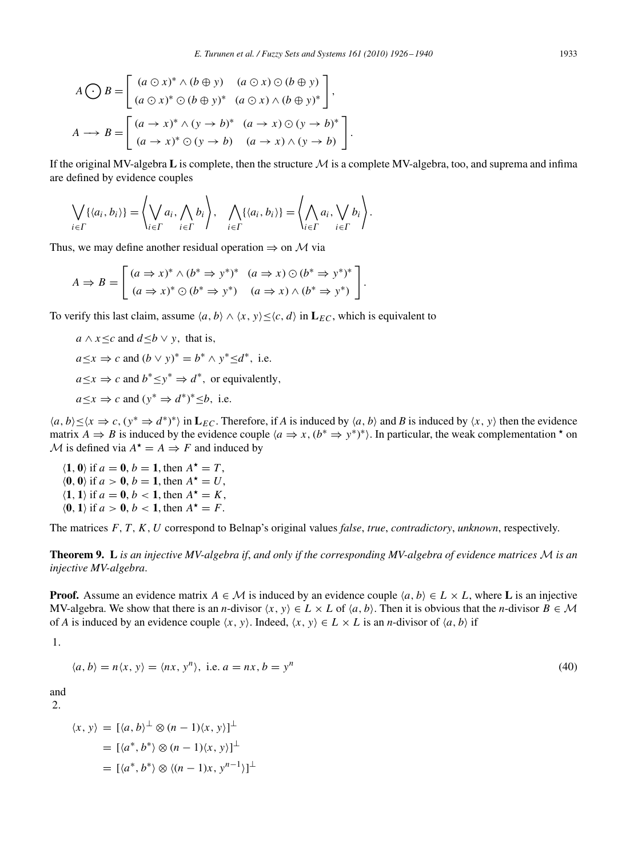$$
A \bigodot B = \begin{bmatrix} (a \bigcirc x)^* \land (b \oplus y) & (a \bigcirc x) \bigcirc (b \oplus y) \\ (a \bigcirc x)^* \bigcirc (b \oplus y)^* & (a \bigcirc x) \land (b \oplus y)^* \end{bmatrix},
$$
  

$$
A \longrightarrow B = \begin{bmatrix} (a \rightarrow x)^* \land (y \rightarrow b)^* & (a \rightarrow x) \bigcirc (y \rightarrow b)^* \\ (a \rightarrow x)^* \bigcirc (y \rightarrow b) & (a \rightarrow x) \land (y \rightarrow b) \end{bmatrix}.
$$

If the original MV-algebra  $L$  is complete, then the structure  $M$  is a complete MV-algebra, too, and suprema and infima are defined by evidence couples

$$
\bigvee_{i \in \Gamma} \{ \langle a_i, b_i \rangle \} = \left\langle \bigvee_{i \in \Gamma} a_i, \bigwedge_{i \in \Gamma} b_i \right\rangle, \quad \bigwedge_{i \in \Gamma} \{ \langle a_i, b_i \rangle \} = \left\langle \bigwedge_{i \in \Gamma} a_i, \bigvee_{i \in \Gamma} b_i \right\rangle.
$$

Thus, we may define another residual operation  $\Rightarrow$  on *M* via

$$
A \Rightarrow B = \begin{bmatrix} (a \Rightarrow x)^* \land (b^* \Rightarrow y^*)^* & (a \Rightarrow x) \odot (b^* \Rightarrow y^*)^* \\ (a \Rightarrow x)^* \odot (b^* \Rightarrow y^*) & (a \Rightarrow x) \land (b^* \Rightarrow y^*) \end{bmatrix}.
$$

To verify this last claim, assume  $\langle a, b \rangle \wedge \langle x, y \rangle \leq \langle c, d \rangle$  in  $\mathbf{L}_{EC}$ , which is equivalent to

*a* ∧ *x* ≤*c* and *d* ≤*b* ∨ *y*, that is,  $a \le x \Rightarrow c$  and  $(b \lor y)^* = b^* \land y^* \le d^*$ , i.e.  $a \leq x \Rightarrow c$  and  $b^* \leq y^* \Rightarrow d^*$ , or equivalently,  $a \le x \Rightarrow c$  and  $(y^* \Rightarrow d^*)^* \le b$ , i.e.

 $(a, b) ≤ \langle x \Rightarrow c, (y^* \Rightarrow d^*)^* \rangle$  in  $\mathbf{L}_{EC}$ . Therefore, if *A* is induced by  $\langle a, b \rangle$  and *B* is induced by  $\langle x, y \rangle$  then the evidence matrix  $A \Rightarrow B$  is induced by the evidence couple  $\langle a \Rightarrow x, (b^* \Rightarrow y^*)^* \rangle$ . In particular, the weak complementation  $\star$  on *M* is defined via  $A^* = A \Rightarrow F$  and induced by

 $\langle \mathbf{1}, \mathbf{0} \rangle$  if  $a = \mathbf{0}, b = \mathbf{1}$ , then  $A^* = T$ ,  $\langle 0, 0 \rangle$  if  $a > 0$ ,  $b = 1$ , then  $A^* = U$ ,  $\langle \mathbf{1}, \mathbf{1} \rangle$  if  $a = \mathbf{0}, b < \mathbf{1}$ , then  $A^* = K$ ,  $\langle 0, 1 \rangle$  if  $a > 0$ ,  $b < 1$ , then  $A^* = F$ .

The matrices *F*, *T*, *K*, *U* correspond to Belnap's original values *false*, *true*, *contradictory*, *unknown*, respectively.

**Theorem 9. L** *is an injective MV-algebra if*, *and only if the corresponding MV-algebra of evidence matrices M is an injective MV-algebra*.

**Proof.** Assume an evidence matrix  $A \in \mathcal{M}$  is induced by an evidence couple  $\langle a, b \rangle \in L \times L$ , where **L** is an injective MV-algebra. We show that there is an *n*-divisor  $\langle x, y \rangle \in L \times L$  of  $\langle a, b \rangle$ . Then it is obvious that the *n*-divisor  $B \in \mathcal{M}$ of *A* is induced by an evidence couple  $\langle x, y \rangle$ . Indeed,  $\langle x, y \rangle \in L \times L$  is an *n*-divisor of  $\langle a, b \rangle$  if

1.

$$
\langle a, b \rangle = n \langle x, y \rangle = \langle nx, y^n \rangle, \text{ i.e. } a = nx, b = y^n \tag{40}
$$

and 2.

$$
\langle x, y \rangle = [\langle a, b \rangle^{\perp} \otimes (n-1)\langle x, y \rangle]^{\perp}
$$

$$
= [\langle a^*, b^* \rangle \otimes (n-1)\langle x, y \rangle]^{\perp}
$$

$$
= [\langle a^*, b^* \rangle \otimes \langle (n-1)x, y^{n-1} \rangle]^{\perp}
$$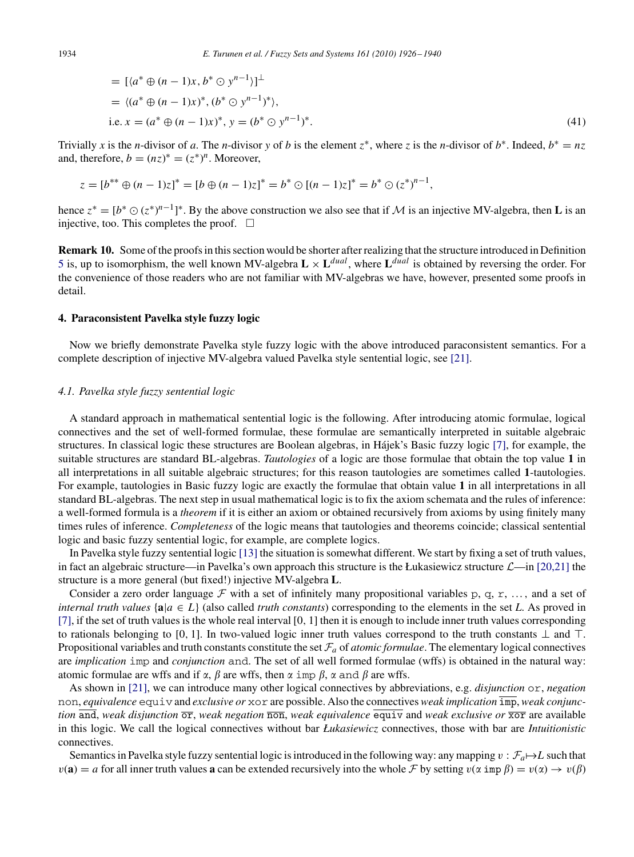$$
= [\langle a^* \oplus (n-1)x, b^* \odot y^{n-1} \rangle]^\perp
$$
  
=  $\langle (a^* \oplus (n-1)x)^*, (b^* \odot y^{n-1})^* \rangle$ ,  
i.e.  $x = (a^* \oplus (n-1)x)^*, y = (b^* \odot y^{n-1})^*$ . (41)

Trivially *x* is the *n*-divisor of *a*. The *n*-divisor *y* of *b* is the element  $z^*$ , where *z* is the *n*-divisor of  $b^*$ . Indeed,  $b^* = nz$ and, therefore,  $b = (nz)^* = (z^*)^n$ . Moreover,

$$
z = [b^{**} \oplus (n-1)z]^* = [b \oplus (n-1)z]^* = b^* \odot [(n-1)z]^* = b^* \odot (z^*)^{n-1},
$$

hence  $z^* = [b^* \odot (z^*)^{n-1}]^*$ . By the above construction we also see that if *M* is an injective MV-algebra, then **L** is an injective, too. This completes the proof.  $\Box$ 

**Remark 10.** Some of the proofs in this section would be shorter after realizing that the structure introduced in Definition [5](#page-5-2) is, up to isomorphism, the well known MV-algebra  $\mathbf{L} \times \mathbf{L}^{dual}$ , where  $\mathbf{L}^{dual}$  is obtained by reversing the order. For the convenience of those readers who are not familiar with MV-algebras we have, however, presented some proofs in detail.

## **4. Paraconsistent Pavelka style fuzzy logic**

Now we briefly demonstrate Pavelka style fuzzy logic with the above introduced paraconsistent semantics. For a complete description of injective MV-algebra valued Pavelka style sentential logic, see [\[21\].](#page-14-9)

## *4.1. Pavelka style fuzzy sentential logic*

A standard approach in mathematical sentential logic is the following. After introducing atomic formulae, logical connectives and the set of well-formed formulae, these formulae are semantically interpreted in suitable algebraic structures. In classical logic these structures are Boolean algebras, in Hájek's Basic fuzzy logic [\[7\],](#page-14-21) for example, the suitable structures are standard BL-algebras. *Tautologies* of a logic are those formulae that obtain the top value **1** in all interpretations in all suitable algebraic structures; for this reason tautologies are sometimes called **1**-tautologies. For example, tautologies in Basic fuzzy logic are exactly the formulae that obtain value **1** in all interpretations in all standard BL-algebras. The next step in usual mathematical logic is to fix the axiom schemata and the rules of inference: a well-formed formula is a *theorem* if it is either an axiom or obtained recursively from axioms by using finitely many times rules of inference. *Completeness* of the logic means that tautologies and theorems coincide; classical sentential logic and basic fuzzy sentential logic, for example, are complete logics.

In Pavelka style fuzzy sentential logic [\[13\]](#page-14-6) the situation is somewhat different. We start by fixing a set of truth values, in fact an algebraic structure—in Pavelka's own approach this structure is the Łukasiewicz structure *L*—in [\[20](#page-14-8)[,21\]](#page-14-9) the structure is a more general (but fixed!) injective MV-algebra **L**.

Consider a zero order language  $\mathcal F$  with a set of infinitely many propositional variables p, q, r, ..., and a set of *internal truth values*  $\{a | a \in L\}$  (also called *truth constants*) corresponding to the elements in the set *L*. As proved in [\[7\],](#page-14-21) if the set of truth values is the whole real interval [0, 1] then it is enough to include inner truth values corresponding to rationals belonging to [0, 1]. In two-valued logic inner truth values correspond to the truth constants  $\perp$  and  $\perp$ . Propositional variables and truth constants constitute the set  $F_a$  of *atomic formulae*. The elementary logical connectives are *implication* imp and *conjunction* and. The set of all well formed formulae (wffs) is obtained in the natural way: atomic formulae are wffs and if  $\alpha$ ,  $\beta$  are wffs, then  $\alpha$  imp  $\beta$ ,  $\alpha$  and  $\beta$  are wffs.

As shown in [\[21\],](#page-14-9) we can introduce many other logical connectives by abbreviations, e.g. *disjunction* or, *negation* non, *equivalence* equiv and *exclusive or* xor are possible. Also the connectives *weak implication* imp, *weak conjunction* and, *weak disjunction*  $\overline{or}$ , *weak negation*  $\overline{n \circ n}$ , *weak equivalence* equivalence at *weak exclusive* or  $\overline{x \circ r}$  are available in this logic. We call the logical connectives without bar *Łukasiewicz* connectives, those with bar are *Intuitionistic* connectives.

Semantics in Pavelka style fuzzy sentential logic is introduced in the following way: any mapping  $v : \mathcal{F}_a \mapsto L$  such that  $v(\mathbf{a}) = a$  for all inner truth values **a** can be extended recursively into the whole *F* by setting  $v(\alpha \text{ imp } \beta) = v(\alpha) \rightarrow v(\beta)$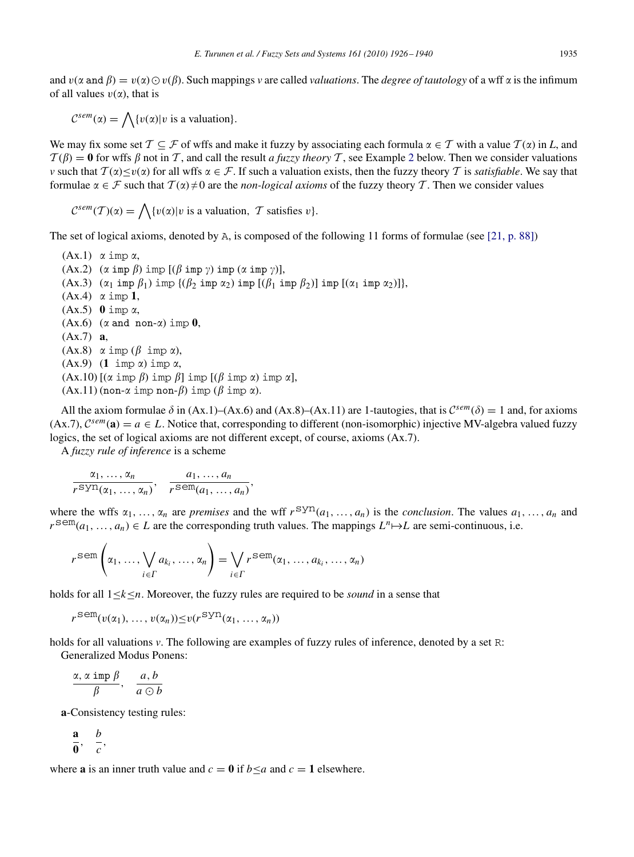and  $v(\alpha \text{ and } \beta) = v(\alpha) \odot v(\beta)$ . Such mappings *v* are called *valuations*. The *degree of tautology* of a wff  $\alpha$  is the infimum of all values  $v(\alpha)$ , that is

$$
C^{sem}(\alpha) = \bigwedge \{v(\alpha)|v \text{ is a valuation}\}.
$$

We may fix some set  $\mathcal{T} \subseteq \mathcal{F}$  of wffs and make it fuzzy by associating each formula  $\alpha \in \mathcal{T}$  with a value  $\mathcal{T}(\alpha)$  in *L*, and  $T(\beta) = 0$  for wffs  $\beta$  not in *T*, and call the result *a fuzzy theory T*, see Example [2](#page-12-0) below. Then we consider valuations *v* such that  $T(\alpha) \le v(\alpha)$  for all wffs  $\alpha \in \mathcal{F}$ . If such a valuation exists, then the fuzzy theory *T* is *satisfiable*. We say that formulae  $\alpha \in \mathcal{F}$  such that  $\mathcal{T}(\alpha) \neq 0$  are the *non-logical axioms* of the fuzzy theory  $\mathcal{T}$ . Then we consider values

 $\mathcal{C}^{sem}(\mathcal{T})(\alpha) = \bigwedge \{v(\alpha) | v \text{ is a valuation}, \ \mathcal{T} \text{ satisfies } v\}.$ 

The set of logical axioms, denoted by A, is composed of the following 11 forms of formulae (see [\[21, p. 88\]\)](#page-14-9)

 $(Ax.1)$   $\alpha$  imp  $\alpha$ , (Ax.2)  $(\alpha \text{ imp } \beta) \text{ imp } [(\beta \text{ imp } \gamma) \text{ imp } (\alpha \text{ imp } \gamma)],$ (Ax.3)  $(\alpha_1 \text{ imp } \beta_1) \text{ imp } {(\beta_2 \text{ imp } \alpha_2) \text{ imp } [(\beta_1 \text{ imp } \beta_2)] \text{ imp } [(\alpha_1 \text{ imp } \alpha_2)]},$  $(Ax.4)$   $\alpha$  imp **1**,  $(Ax.5)$  **0** imp  $\alpha$ ,  $(Ax.6)$   $(\alpha \text{ and } \text{non-}\alpha)$  imp  $0$ , (Ax.7) **a**,  $(Ax.8) \alpha \text{ imp } (\beta \text{ imp } \alpha),$  $(Ax.9)$   $(1 \text{ imp } \alpha)$  imp  $\alpha$ ,  $( Ax.10)$  [( $\alpha$  imp  $\beta$ ) imp  $\beta$ ] imp [( $\beta$  imp  $\alpha$ ) imp  $\alpha$ ],  $(Ax.11)$  (non- $\alpha$  imp non- $\beta$ ) imp  $(\beta$  imp  $\alpha$ ).

All the axiom formulae  $\delta$  in (Ax.1)–(Ax.6) and (Ax.8)–(Ax.11) are 1-tautogies, that is  $C^{sem}(\delta) = 1$  and, for axioms  $(Ax.7)$ ,  $C^{sem}(\mathbf{a}) = a \in L$ . Notice that, corresponding to different (non-isomorphic) injective MV-algebra valued fuzzy logics, the set of logical axioms are not different except, of course, axioms (Ax.7).

A *fuzzy rule of inference* is a scheme

$$
\frac{\alpha_1, \ldots, \alpha_n}{r^{\text{syn}}(\alpha_1, \ldots, \alpha_n)}, \quad \frac{a_1, \ldots, a_n}{r^{\text{sem}}(a_1, \ldots, a_n)},
$$

where the wffs  $\alpha_1, \ldots, \alpha_n$  are *premises* and the wff  $r^{syn}(a_1, \ldots, a_n)$  is the *conclusion*. The values  $a_1, \ldots, a_n$  and  $r^{\text{sem}}(a_1, \ldots, a_n) \in L$  are the corresponding truth values. The mappings  $L^n \mapsto L$  are semi-continuous, i.e.

$$
r^{\text{sem}}\left(\alpha_1,\ldots,\bigvee_{i\in\Gamma}a_{k_i},\ldots,\alpha_n\right)=\bigvee_{i\in\Gamma}r^{\text{sem}}(\alpha_1,\ldots,a_{k_i},\ldots,\alpha_n)
$$

holds for all 1≤*k*≤*n*. Moreover, the fuzzy rules are required to be *sound* in a sense that

 $r^{\text{sem}}(v(\alpha_1), \ldots, v(\alpha_n)) \le v(r^{\text{sym}}(\alpha_1, \ldots, \alpha_n))$ 

holds for all valuations *v*. The following are examples of fuzzy rules of inference, denoted by a set R:

Generalized Modus Ponens:

$$
\frac{\alpha, \alpha \text{ imp } \beta}{\beta}, \quad \frac{a, b}{a \odot b}
$$

**a**-Consistency testing rules:

$$
\frac{\mathbf{a}}{\mathbf{0}}, \quad \frac{b}{c},
$$

where **a** is an inner truth value and  $c = 0$  if  $b \le a$  and  $c = 1$  elsewhere.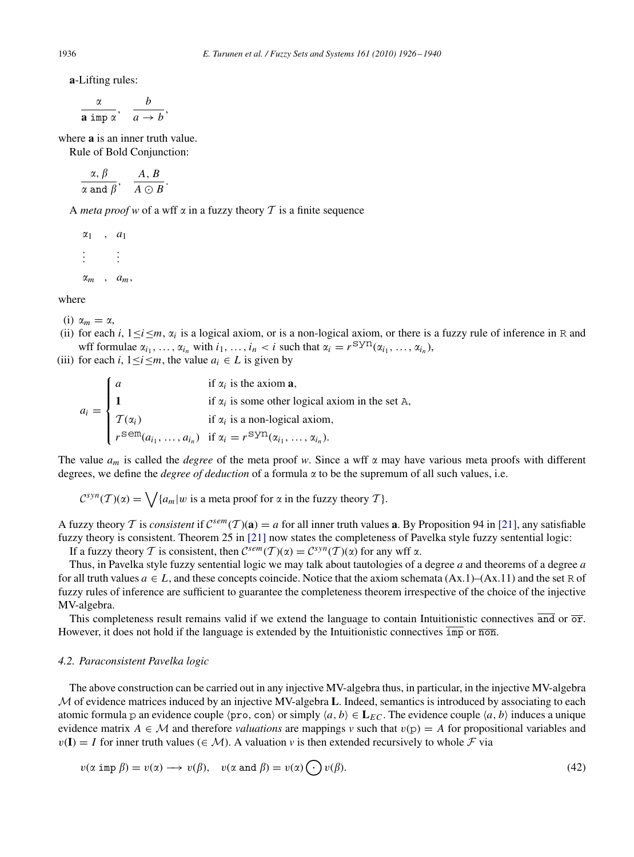**a**-Lifting rules:

$$
\frac{\alpha}{\text{a imp }\alpha}, \quad \frac{b}{a \to b},
$$

where **a** is an inner truth value.

Rule of Bold Conjunction:

 $\alpha,\,\beta$  $\frac{\alpha}{\alpha}$  and  $\beta$ ,  $\frac{A}{A \odot B}$ .

A *meta proof* w of a wff  $\alpha$  in a fuzzy theory  $\mathcal T$  is a finite sequence

 $\alpha_1$ ,  $\alpha_1$ . .  $:$   $:$   $:$  $\alpha_m$ ,  $a_m$ ,

where

- (i)  $\alpha_m = \alpha$ ,
- (ii) for each *i*,  $1 \le i \le m$ ,  $\alpha_i$  is a logical axiom, or is a non-logical axiom, or there is a fuzzy rule of inference in R and wff formulae  $\alpha_{i_1}, \ldots, \alpha_{i_n}$  with  $i_1, \ldots, i_n < i$  such that  $\alpha_i = r^{syn}(\alpha_{i_1}, \ldots, \alpha_{i_n})$ ,
- (iii) for each *i*,  $1 \le i \le m$ , the value  $a_i \in L$  is given by

 $a_i =$  $\mathbf{r}$  $\int$  $\overline{\mathcal{L}}$  $a$  if  $\alpha$ if  $\alpha_i$  is the axiom **a**, **1** if  $\alpha_i$  is some other logical axiom in the set A,  $\mathcal{T}(\alpha_i)$  if  $\alpha_i$  is a non-logical axiom,  $r^{\text{sem}}(a_{i_1}, \ldots, a_{i_n})$  if  $\alpha_i = r^{\text{sym}}(\alpha_{i_1}, \ldots, \alpha_{i_n}).$ 

The value  $a_m$  is called the *degree* of the meta proof w. Since a wff  $\alpha$  may have various meta proofs with different degrees, we define the *degree of deduction* of a formula  $\alpha$  to be the supremum of all such values, i.e.

 $C^{syn}(\mathcal{T})(\alpha) = \bigvee \{a_m | w \text{ is a meta proof for } \alpha \text{ in the fuzzy theory } \mathcal{T} \}.$ 

A fuzzy theory *T* is *consistent* if  $C^{sem}(T)(a) = a$  for all inner truth values **a**. By Proposition 94 in [\[21\],](#page-14-9) any satisfiable fuzzy theory is consistent. Theorem 25 in [\[21\]](#page-14-9) now states the completeness of Pavelka style fuzzy sentential logic:

If a fuzzy theory *T* is consistent, then  $C^{sem}(T)(\alpha) = C^{syn}(T)(\alpha)$  for any wff  $\alpha$ .

Thus, in Pavelka style fuzzy sentential logic we may talk about tautologies of a degree *a* and theorems of a degree *a* for all truth values  $a \in L$ , and these concepts coincide. Notice that the axiom schemata  $(Ax.1)$ – $(Ax.11)$  and the set R of fuzzy rules of inference are sufficient to guarantee the completeness theorem irrespective of the choice of the injective MV-algebra.

This completeness result remains valid if we extend the language to contain Intuitionistic connectives and or  $\overline{or}$ . However, it does not hold if the language is extended by the Intuitionistic connectives  $\overline{\text{imp}}$  or  $\overline{\text{non}}$ .

#### *4.2. Paraconsistent Pavelka logic*

The above construction can be carried out in any injective MV-algebra thus, in particular, in the injective MV-algebra *M* of evidence matrices induced by an injective MV-algebra **L**. Indeed, semantics is introduced by associating to each atomic formula p an evidence couple  $\langle$ pro, con $\rangle$  or simply  $\langle a, b \rangle \in L_{EC}$ . The evidence couple  $\langle a, b \rangle$  induces a unique evidence matrix  $A \in \mathcal{M}$  and therefore *valuations* are mappings *v* such that  $v(p) = A$  for propositional variables and  $v(I) = I$  for inner truth values ( $\in \mathcal{M}$ ). A valuation v is then extended recursively to whole F via

<span id="page-10-0"></span>
$$
v(\alpha \text{ imp }\beta) = v(\alpha) \longrightarrow v(\beta), \quad v(\alpha \text{ and } \beta) = v(\alpha) \bigodot v(\beta).
$$
 (42)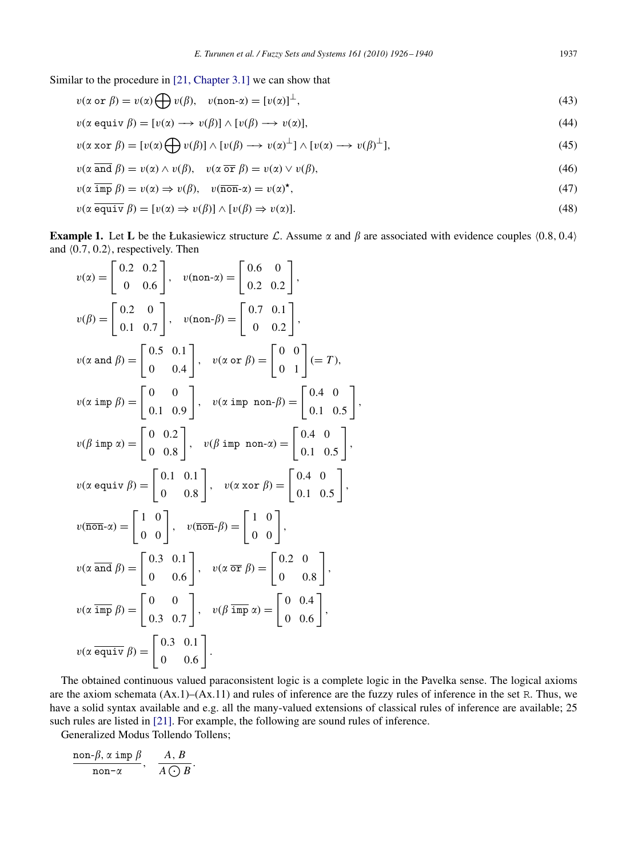Similar to the procedure in [\[21, Chapter 3.1\]](#page-14-9) we can show that

$$
v(\alpha \text{ or } \beta) = v(\alpha) \bigoplus v(\beta), \quad v(\text{non-}\alpha) = [v(\alpha)]^{\perp}, \tag{43}
$$

$$
v(\alpha \text{ equiv }\beta) = [v(\alpha) \longrightarrow v(\beta)] \land [v(\beta) \longrightarrow v(\alpha)],\tag{44}
$$

$$
v(\alpha \operatorname{xor} \beta) = [v(\alpha) \bigoplus v(\beta)] \wedge [v(\beta) \longrightarrow v(\alpha)^{\perp}] \wedge [v(\alpha) \longrightarrow v(\beta)^{\perp}], \tag{45}
$$

$$
v(\alpha \overline{\text{ and }} \beta) = v(\alpha) \wedge v(\beta), \quad v(\alpha \overline{\text{ or }} \beta) = v(\alpha) \vee v(\beta), \tag{46}
$$

$$
v(\alpha \overline{\text{imp}} \beta) = v(\alpha) \Rightarrow v(\beta), \quad v(\overline{\text{non}} - \alpha) = v(\alpha)^{\star}, \tag{47}
$$

$$
v(\alpha \overline{equiv} \beta) = [v(\alpha) \Rightarrow v(\beta)] \land [v(\beta) \Rightarrow v(\alpha)]. \tag{48}
$$

,

**Example 1.** Let **L** be the Łukasiewicz structure *L*. Assume  $\alpha$  and  $\beta$  are associated with evidence couples  $(0.8, 0.4)$ and  $(0.7, 0.2)$ , respectively. Then

$$
v(\alpha) = \begin{bmatrix} 0.2 & 0.2 \\ 0 & 0.6 \end{bmatrix}, v(\text{non-}\alpha) = \begin{bmatrix} 0.6 & 0 \\ 0.2 & 0.2 \end{bmatrix},
$$
  
\n
$$
v(\beta) = \begin{bmatrix} 0.2 & 0 \\ 0.1 & 0.7 \end{bmatrix}, v(\text{non-}\beta) = \begin{bmatrix} 0.7 & 0.1 \\ 0 & 0.2 \end{bmatrix},
$$
  
\n
$$
v(\alpha \text{ and } \beta) = \begin{bmatrix} 0.5 & 0.1 \\ 0 & 0.4 \end{bmatrix}, v(\alpha \text{ or } \beta) = \begin{bmatrix} 0 & 0 \\ 0 & 1 \end{bmatrix} (= T),
$$
  
\n
$$
v(\alpha \text{ imp } \beta) = \begin{bmatrix} 0 & 0 \\ 0.1 & 0.9 \end{bmatrix}, v(\alpha \text{ imp non-}\beta) = \begin{bmatrix} 0.4 & 0 \\ 0.1 & 0.5 \end{bmatrix},
$$
  
\n
$$
v(\beta \text{ imp } \alpha) = \begin{bmatrix} 0 & 0.2 \\ 0 & 0.8 \end{bmatrix}, v(\beta \text{ imp non-}\alpha) = \begin{bmatrix} 0.4 & 0 \\ 0.1 & 0.5 \end{bmatrix},
$$
  
\n
$$
v(\alpha \text{ equiv } \beta) = \begin{bmatrix} 0.1 & 0.1 \\ 0 & 0.8 \end{bmatrix}, v(\alpha \text{ xor } \beta) = \begin{bmatrix} 0.4 & 0 \\ 0.1 & 0.5 \end{bmatrix},
$$
  
\n
$$
v(\alpha \text{ and } \beta) = \begin{bmatrix} 0.3 & 0.1 \\ 0 & 0.6 \end{bmatrix}, v(\alpha \text{ or } \beta) = \begin{bmatrix} 0.2 & 0 \\ 0 & 0.8 \end{bmatrix},
$$
  
\n
$$
v(\alpha \text{ imp } \beta) = \begin{bmatrix} 0 & 0 \\ 0.3 & 0.7 \end{bmatrix}, v(\beta \text{ imp } \alpha) = \begin{bmatrix} 0.2 & 0 \\ 0 & 0.6 \end{bmatrix},
$$
  
\n
$$
v(\alpha \text{ equiv } \beta) = \begin{bmatrix} 0.3 & 0.1 \\ 0 & 0.6
$$

The obtained continuous valued paraconsistent logic is a complete logic in the Pavelka sense. The logical axioms are the axiom schemata (Ax.1)–(Ax.11) and rules of inference are the fuzzy rules of inference in the set R. Thus, we have a solid syntax available and e.g. all the many-valued extensions of classical rules of inference are available; 25 such rules are listed in [\[21\].](#page-14-9) For example, the following are sound rules of inference.

Generalized Modus Tollendo Tollens;

$$
\frac{\text{non-}\beta, \, \alpha \, \operatorname{imp} \, \beta}{\text{non-}\alpha}, \quad \frac{A, \, B}{A \, \bigodot B}.
$$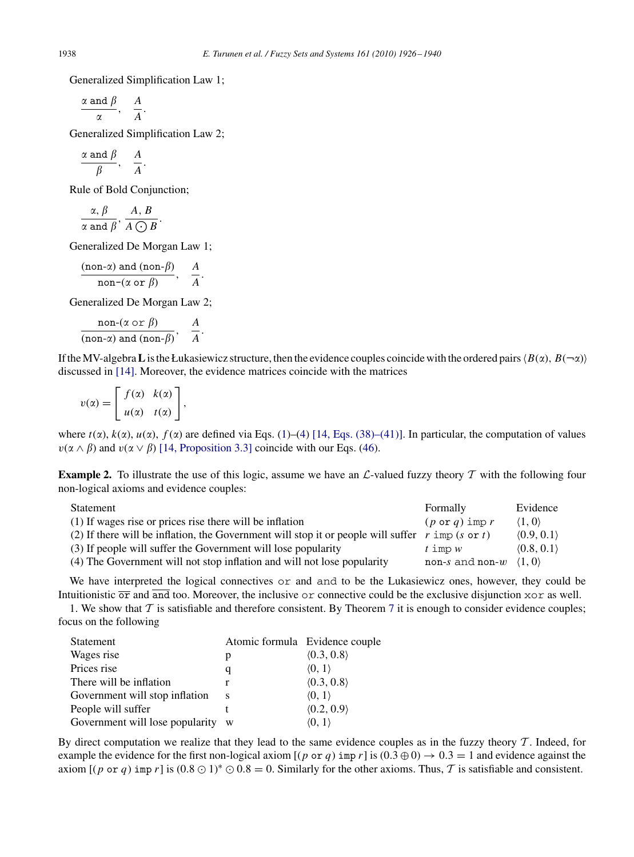Generalized Simplification Law 1;

$$
\frac{\alpha \text{ and } \beta}{\alpha}, \quad \frac{A}{A}.
$$

Generalized Simplification Law 2;

$$
\frac{\alpha \text{ and } \beta}{\beta}, \quad \frac{A}{A}.
$$

Rule of Bold Conjunction;

$$
\frac{\alpha, \beta}{\alpha \text{ and } \beta}, \frac{A, B}{A \bigcirc B}.
$$

Generalized De Morgan Law 1;

$$
\frac{(\text{non-}\alpha) \text{ and } (\text{non-}\beta)}{\text{non-}(\alpha \text{ or } \beta)}, \quad \frac{A}{A}.
$$

Generalized De Morgan Law 2;

$$
\frac{\text{non-}(\alpha \text{ or } \beta)}{(\text{non-}\alpha) \text{ and } (\text{non-}\beta)}, \quad \frac{A}{A}.
$$

If the MV-algebra **L** is the Łukasiewicz structure, then the evidence couples coincide with the ordered pairs  $\langle B(x), B(\neg x) \rangle$ discussed in [\[14\].](#page-14-3) Moreover, the evidence matrices coincide with the matrices

$$
v(\alpha) = \left[ \begin{array}{cc} f(\alpha) & k(\alpha) \\ u(\alpha) & t(\alpha) \end{array} \right],
$$

<span id="page-12-0"></span>where  $t(\alpha)$ ,  $k(\alpha)$ ,  $u(\alpha)$ ,  $f(\alpha)$  are defined via Eqs. [\(1\)](#page-0-0)–[\(4\)](#page-0-0) [\[14, Eqs. \(38\)–\(41\)\].](#page-14-3) In particular, the computation of values  $v(\alpha \wedge \beta)$  and  $v(\alpha \vee \beta)$  [\[14, Proposition 3.3\]](#page-14-3) coincide with our Eqs. [\(46\)](#page-10-0).

**Example 2.** To illustrate the use of this logic, assume we have an *L*-valued fuzzy theory *T* with the following four non-logical axioms and evidence couples:

| Statement                                                                                        | Formally                               | Evidence                   |
|--------------------------------------------------------------------------------------------------|----------------------------------------|----------------------------|
| (1) If wages rise or prices rise there will be inflation                                         | $(p \text{ or } q)$ imp r              | $\langle 1, 0 \rangle$     |
| (2) If there will be inflation, the Government will stop it or people will suffer r imp (s or t) |                                        | $\langle 0.9, 0.1 \rangle$ |
| (3) If people will suffer the Government will lose popularity                                    | $t$ imp $w$                            | (0.8, 0.1)                 |
| (4) The Government will not stop inflation and will not lose popularity                          | non-s and non-w $\langle 1, 0 \rangle$ |                            |

We have interpreted the logical connectives or and and to be the Lukasiewicz ones, however, they could be Intuitionistic  $\overline{or}$  and  $\overline{and}$  too. Moreover, the inclusive or connective could be the exclusive disjunction xor as well.

1. We show that  $T$  is satisfiable and therefore consistent. By Theorem [7](#page-6-0) it is enough to consider evidence couples; focus on the following

| Statement                       |   | Atomic formula Evidence couple |
|---------------------------------|---|--------------------------------|
| Wages rise                      | р | $\langle 0.3, 0.8 \rangle$     |
| Prices rise                     | q | $\langle 0, 1 \rangle$         |
| There will be inflation         |   | $\langle 0.3, 0.8 \rangle$     |
| Government will stop inflation  | S | $\langle 0, 1 \rangle$         |
| People will suffer              |   | $\langle 0.2, 0.9 \rangle$     |
| Government will lose popularity |   | (0, 1)                         |

By direct computation we realize that they lead to the same evidence couples as in the fuzzy theory *T* . Indeed, for example the evidence for the first non-logical axiom  $[(p \text{ or } q) \text{ imp } r]$  is  $(0.3 \oplus 0) \rightarrow 0.3 = 1$  and evidence against the axiom  $[(p \text{ or } q) \text{ imp } r]$  is  $(0.8 \odot 1)^* \odot 0.8 = 0$ . Similarly for the other axioms. Thus, *T* is satisfiable and consistent.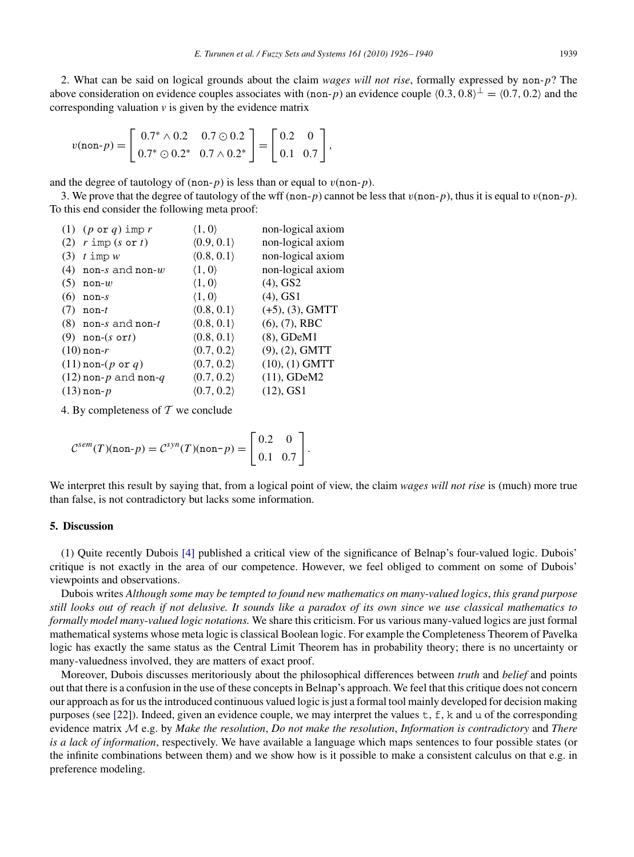2. What can be said on logical grounds about the claim *wages will not rise*, formally expressed by non-*p*? The above consideration on evidence couples associates with (non-*p*) an evidence couple  $(0.3, 0.8)^\perp = (0.7, 0.2)$  and the corresponding valuation  $\nu$  is given by the evidence matrix

$$
v(\text{non-}p) = \left[ \begin{array}{cc} 0.7^* \wedge 0.2 & 0.7 \odot 0.2 \\ 0.7^* \odot 0.2^* & 0.7 \wedge 0.2^* \end{array} \right] = \left[ \begin{array}{cc} 0.2 & 0 \\ 0.1 & 0.7 \end{array} \right],
$$

and the degree of tautology of  $(non-p)$  is less than or equal to  $v(non-p)$ .

3. We prove that the degree of tautology of the wff (non-*p*) cannot be less that  $v(\text{non}-p)$ , thus it is equal to  $v(\text{non}-p)$ . To this end consider the following meta proof:

| (1) $(p \text{ or } q)$ imp r         | $\langle 1, 0 \rangle$     | non-logical axiom     |
|---------------------------------------|----------------------------|-----------------------|
| (2) $r \text{ imp} (s \text{ or } t)$ | (0.9, 0.1)                 | non-logical axiom     |
| $t \text{ imp } w$<br>(3)             | (0.8, 0.1)                 | non-logical axiom     |
| non-s and non- $w$<br>(4)             | $\langle 1, 0 \rangle$     | non-logical axiom     |
| (5)<br>$non-w$                        | $\langle 1, 0 \rangle$     | $(4)$ , GS2           |
| (6)<br>$non-s$                        | $\langle 1, 0 \rangle$     | $(4)$ , GS1           |
| (7)<br>$non-t$                        | $\langle 0.8, 0.1 \rangle$ | $(+5)$ , $(3)$ , GMTT |
| $(8)$ non-s and non-t                 | (0.8, 0.1)                 | (6), (7), RBC         |
| $(9)$ non- $(s$ ort)                  | (0.8, 0.1)                 | $(8)$ , GDeM $1$      |
| $(10)$ non-r                          | (0.7, 0.2)                 | $(9)$ , $(2)$ , GMTT  |
| $(11)$ non- $(p \text{ or } q)$       | (0.7, 0.2)                 | $(10), (1)$ GMTT      |
| $(12)$ non-p and non-q                | $\langle 0.7, 0.2 \rangle$ | $(11)$ , GDeM2        |
| $(13)$ non- $p$                       | $\langle 0.7, 0.2 \rangle$ | $(12)$ , GS1          |
|                                       |                            |                       |

4. By completeness of *T* we conclude

$$
\mathcal{C}^{sem}(T)(\text{non-}p) = \mathcal{C}^{syn}(T)(\text{non-}p) = \begin{bmatrix} 0.2 & 0 \\ 0.1 & 0.7 \end{bmatrix}.
$$

We interpret this result by saying that, from a logical point of view, the claim *wages will not rise* is (much) more true than false, is not contradictory but lacks some information.

## **5. Discussion**

(1) Quite recently Dubois [\[4\]](#page-14-16) published a critical view of the significance of Belnap's four-valued logic. Dubois' critique is not exactly in the area of our competence. However, we feel obliged to comment on some of Dubois' viewpoints and observations.

Dubois writes *Although some may be tempted to found new mathematics on many-valued logics*, *this grand purpose still looks out of reach if not delusive. It sounds like a paradox of its own since we use classical mathematics to formally model many-valued logic notations.* We share this criticism. For us various many-valued logics are just formal mathematical systems whose meta logic is classical Boolean logic. For example the Completeness Theorem of Pavelka logic has exactly the same status as the Central Limit Theorem has in probability theory; there is no uncertainty or many-valuedness involved, they are matters of exact proof.

Moreover, Dubois discusses meritoriously about the philosophical differences between *truth* and *belief* and points out that there is a confusion in the use of these concepts in Belnap's approach. We feel that this critique does not concern our approach as for us the introduced continuous valued logic is just a formal tool mainly developed for decision making purposes (see [\[2](#page-14-5)2]). Indeed, given an evidence couple, we may interpret the values t, f, k and u of the corresponding evidence matrix *M* e.g. by *Make the resolution*, *Do not make the resolution*, *Information is contradictory* and *There is a lack of information*, respectively. We have available a language which maps sentences to four possible states (or the infinite combinations between them) and we show how is it possible to make a consistent calculus on that e.g. in preference modeling.